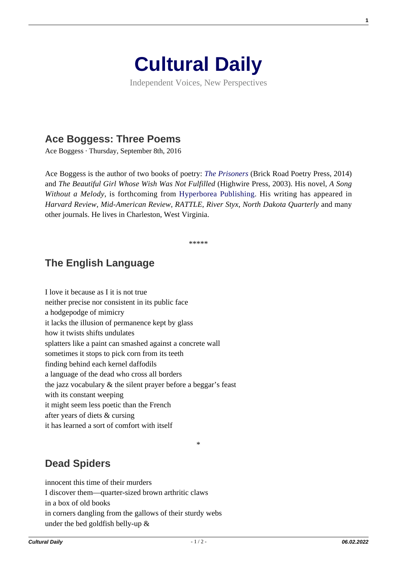

Independent Voices, New Perspectives

## **[Ace Boggess: Three Poems](https://culturaldaily.com/ace-boggess-three-poems/)**

Ace Boggess · Thursday, September 8th, 2016

Ace Boggess is the author of two books of poetry: *[The Prisoners](http://www.amazon.com/Prisoners-Ace-Boggess/dp/0983530475/ref=sr_1_1?s=books&ie=UTF8&qid=1407071309&sr=1-1&keywords=ace+boggess)* (Brick Road Poetry Press, 2014) and *The Beautiful Girl Whose Wish Was Not Fulfilled* (Highwire Press, 2003). His novel, *A Song Without a Melody*, is forthcoming from [Hyperborea Publishing.](http://www.hyperboreapub.com/) His writing has appeared in *Harvard Review*, *Mid-American Review*, *RATTLE*, *River Styx*, *North Dakota Quarterly* and many other journals. He lives in Charleston, West Virginia.

\*\*\*\*\*

## **The English Language**

I love it because as I it is not true neither precise nor consistent in its public face a hodgepodge of mimicry it lacks the illusion of permanence kept by glass how it twists shifts undulates splatters like a paint can smashed against a concrete wall sometimes it stops to pick corn from its teeth finding behind each kernel daffodils a language of the dead who cross all borders the jazz vocabulary & the silent prayer before a beggar's feast with its constant weeping it might seem less poetic than the French after years of diets & cursing it has learned a sort of comfort with itself

## **Dead Spiders**

innocent this time of their murders I discover them—quarter-sized brown arthritic claws in a box of old books in corners dangling from the gallows of their sturdy webs under the bed goldfish belly-up &

\*

**1**